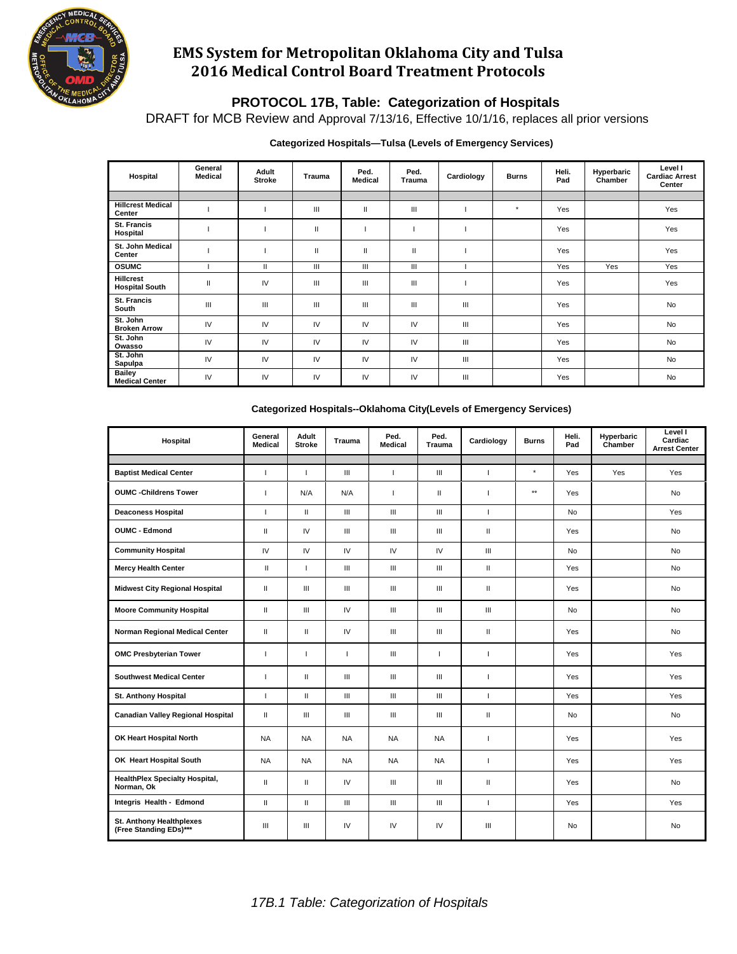

# **EMS System for Metropolitan Oklahoma City and Tulsa 2016 Medical Control Board Treatment Protocols**

## **PROTOCOL 17B, Table: Categorization of Hospitals**

DRAFT for MCB Review and Approval 7/13/16, Effective 10/1/16, replaces all prior versions

### **Categorized Hospitals—Tulsa (Levels of Emergency Services)**

| Hospital                                  | General<br>Medical | Adult<br><b>Stroke</b> | Trauma | Ped.<br><b>Medical</b> | Ped.<br><b>Trauma</b> | Cardiology | <b>Burns</b> | Heli.<br>Pad | Hyperbaric<br>Chamber | Level I<br><b>Cardiac Arrest</b><br>Center |
|-------------------------------------------|--------------------|------------------------|--------|------------------------|-----------------------|------------|--------------|--------------|-----------------------|--------------------------------------------|
|                                           |                    |                        |        |                        |                       |            |              |              |                       |                                            |
| <b>Hillcrest Medical</b><br>Center        |                    |                        | Ш      | $\mathbf{I}$           | Ш                     |            | $^\star$     | Yes          |                       | Yes                                        |
| St. Francis<br>Hospital                   |                    |                        | Ш      |                        |                       |            |              | Yes          |                       | Yes                                        |
| St. John Medical<br>Center                |                    |                        | Ш      | $\mathbf{I}$           | $\mathbf{H}$          |            |              | Yes          |                       | Yes                                        |
| <b>OSUMC</b>                              |                    | $\mathbf{I}$           | Ш      | Ш                      | Ш                     |            |              | Yes          | Yes                   | Yes                                        |
| <b>Hillcrest</b><br><b>Hospital South</b> | $\mathsf{I}$       | IV                     | Ш      | Ш                      | Ш                     |            |              | Yes          |                       | Yes                                        |
| St. Francis<br>South                      | Ш                  | Ш                      | Ш      | Ш                      | Ш                     | Ш          |              | Yes          |                       | <b>No</b>                                  |
| St. John<br><b>Broken Arrow</b>           | IV                 | IV                     | IV     | IV                     | IV                    | Ш          |              | Yes          |                       | <b>No</b>                                  |
| St. John<br>Owasso                        | IV                 | IV                     | IV     | IV                     | IV                    | Ш          |              | Yes          |                       | <b>No</b>                                  |
| St. John<br>Sapulpa                       | IV                 | IV                     | IV     | IV                     | IV                    | Ш          |              | Yes          |                       | <b>No</b>                                  |
| <b>Bailey</b><br><b>Medical Center</b>    | IV                 | IV                     | IV     | IV                     | IV                    | Ш          |              | Yes          |                       | <b>No</b>                                  |

| Hospital                                            | General<br>Medical       | Adult<br><b>Stroke</b>             | <b>Trauma</b>                      | Ped.<br>Medical                    | Ped.<br>Trauma     | Cardiology               | <b>Burns</b> | Heli.<br>Pad | Hyperbaric<br>Chamber | Level I<br>Cardiac<br><b>Arrest Center</b> |
|-----------------------------------------------------|--------------------------|------------------------------------|------------------------------------|------------------------------------|--------------------|--------------------------|--------------|--------------|-----------------------|--------------------------------------------|
|                                                     |                          |                                    |                                    |                                    |                    |                          |              |              |                       |                                            |
| <b>Baptist Medical Center</b>                       | $\overline{1}$           | $\mathbf{I}$                       | III                                | $\overline{1}$                     | $\mathbf{III}$     | $\mathbf{I}$             | $^\star$     | Yes          | Yes                   | Yes                                        |
| <b>OUMC</b> - Childrens Tower                       | $\overline{1}$           | N/A                                | N/A                                | $\overline{1}$                     | $\mathbf{H}$       | $\overline{1}$           | $\star\star$ | Yes          |                       | <b>No</b>                                  |
| <b>Deaconess Hospital</b>                           | $\mathbf{I}$             | $\mathbf{H}$                       | III                                | III                                | III                | $\mathbf{I}$             |              | <b>No</b>    |                       | Yes                                        |
| <b>OUMC - Edmond</b>                                | $\mathbf{H}$             | IV                                 | III                                | $\mathbf{III}$                     | III                | $\mathbf{H}$             |              | Yes          |                       | <b>No</b>                                  |
| <b>Community Hospital</b>                           | IV                       | IV                                 | IV                                 | IV                                 | IV                 | Ш                        |              | <b>No</b>    |                       | <b>No</b>                                  |
| <b>Mercy Health Center</b>                          | $\mathbf{H}$             | $\mathbf{I}$                       | $\ensuremath{\mathsf{III}}\xspace$ | $\ensuremath{\mathsf{III}}\xspace$ | III                | Ш                        |              | Yes          |                       | <b>No</b>                                  |
| <b>Midwest City Regional Hospital</b>               | $\mathbf{H}$             | III                                | III                                | $\mathbf{III}$                     | Ш                  | $\mathbf{H}$             |              | Yes          |                       | <b>No</b>                                  |
| <b>Moore Community Hospital</b>                     | $\mathbf{H}$             | $\ensuremath{\mathsf{III}}\xspace$ | IV                                 | $\ensuremath{\mathsf{III}}\xspace$ | $\mathbf{III}$     | $\mathbf{III}$           |              | <b>No</b>    |                       | No                                         |
| Norman Regional Medical Center                      | $\mathbf{I}$             | Ш                                  | IV                                 | Ш                                  | Ш                  | Ш                        |              | Yes          |                       | No                                         |
| <b>OMC Presbyterian Tower</b>                       | $\overline{\phantom{a}}$ | 1                                  | ı                                  | $\mathbf{III}$                     | $\mathbf{I}$       |                          |              | Yes          |                       | Yes                                        |
| <b>Southwest Medical Center</b>                     | $\overline{\phantom{a}}$ | $\mathbf{H}$                       | III                                | III                                | Ш                  |                          |              | Yes          |                       | Yes                                        |
| St. Anthony Hospital                                | $\overline{1}$           | $\mathbf{H}$                       | $\ensuremath{\mathsf{III}}\xspace$ | $\ensuremath{\mathsf{III}}\xspace$ | $\mathop{\rm III}$ | $\overline{1}$           |              | Yes          |                       | Yes                                        |
| <b>Canadian Valley Regional Hospital</b>            | $\mathbf{H}$             | III                                | III                                | $\mathbf{III}$                     | Ш                  | Ш                        |              | <b>No</b>    |                       | No                                         |
| OK Heart Hospital North                             | <b>NA</b>                | <b>NA</b>                          | <b>NA</b>                          | <b>NA</b>                          | <b>NA</b>          | $\overline{\phantom{a}}$ |              | Yes          |                       | Yes                                        |
| OK Heart Hospital South                             | <b>NA</b>                | <b>NA</b>                          | <b>NA</b>                          | <b>NA</b>                          | <b>NA</b>          | $\overline{1}$           |              | Yes          |                       | Yes                                        |
| <b>HealthPlex Specialty Hospital,</b><br>Norman, Ok | $\mathbf{H}$             | $\mathbf{H}$                       | IV                                 | III                                | Ш                  | Ш                        |              | Yes          |                       | <b>No</b>                                  |
| Integris Health - Edmond                            | $\mathbf{I}$             | $\mathbf{H}$                       | III                                | $\ensuremath{\mathsf{III}}\xspace$ | $\mathop{\rm III}$ | $\overline{\phantom{a}}$ |              | Yes          |                       | Yes                                        |
| St. Anthony Healthplexes<br>(Free Standing EDs)***  | Ш                        | $\ensuremath{\mathsf{III}}\xspace$ | IV                                 | IV                                 | IV                 | Ш                        |              | No           |                       | No                                         |

#### **Categorized Hospitals--Oklahoma City(Levels of Emergency Services)**